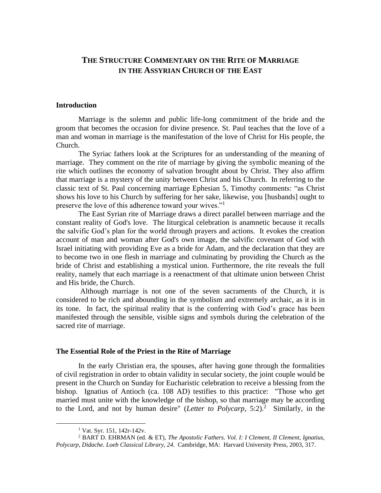# **THE STRUCTURE COMMENTARY ON THE RITE OF MARRIAGE IN THE ASSYRIAN CHURCH OF THE EAST**

#### **Introduction**

Marriage is the solemn and public life-long commitment of the bride and the groom that becomes the occasion for divine presence. St. Paul teaches that the love of a man and woman in marriage is the manifestation of the love of Christ for His people, the Church.

The Syriac fathers look at the Scriptures for an understanding of the meaning of marriage. They comment on the rite of marriage by giving the symbolic meaning of the rite which outlines the economy of salvation brought about by Christ. They also affirm that marriage is a mystery of the unity between Christ and his Church. In referring to the classic text of St. Paul concerning marriage Ephesian 5, Timothy comments: "as Christ shows his love to his Church by suffering for her sake, likewise, you [husbands] ought to preserve the love of this adherence toward your wives."<sup>1</sup>

The East Syrian rite of Marriage draws a direct parallel between marriage and the constant reality of God's love. The liturgical celebration is anamnetic because it recalls the salvific God's plan for the world through prayers and actions. It evokes the creation account of man and woman after God's own image, the salvific covenant of God with Israel initiating with providing Eve as a bride for Adam, and the declaration that they are to become two in one flesh in marriage and culminating by providing the Church as the bride of Christ and establishing a mystical union. Furthermore, the rite reveals the full reality, namely that each marriage is a reenactment of that ultimate union between Christ and His bride, the Church.

Although marriage is not one of the seven sacraments of the Church, it is considered to be rich and abounding in the symbolism and extremely archaic, as it is in its tone. In fact, the spiritual reality that is the conferring with God's grace has been manifested through the sensible, visible signs and symbols during the celebration of the sacred rite of marriage.

#### **The Essential Role of the Priest in the Rite of Marriage**

In the early Christian era, the spouses, after having gone through the formalities of civil registration in order to obtain validity in secular society, the joint couple would be present in the Church on Sunday for Eucharistic celebration to receive a blessing from the bishop. Ignatius of Antioch (ca. 108 AD) testifies to this practice: "Those who get married must unite with the knowledge of the bishop, so that marriage may be according to the Lord, and not by human desire" (*Letter to Polycarp*,  $5:2$ ).<sup>2</sup> Similarly, in the

<sup>1</sup> Vat. Syr. 151, 142r-142v.

<sup>2</sup> BART D. EHRMAN (ed. & ET), *The Apostolic Fathers. Vol. I: I Clement, II Clement, Ignatius, Polycarp, Didache. Loeb Classical Library, 24*. Cambridge, MA: Harvard University Press, 2003, 317.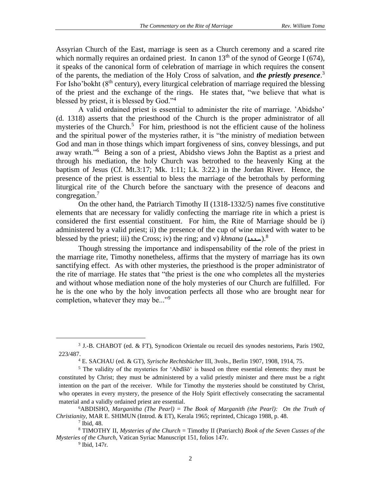Assyrian Church of the East, marriage is seen as a Church ceremony and a scared rite which normally requires an ordained priest. In canon  $13<sup>th</sup>$  of the synod of George I (674), it speaks of the canonical form of celebration of marriage in which requires the consent of the parents, the mediation of the Holy Cross of salvation, and *the priestly presence*. 3 For Isho'bokht  $(8<sup>th</sup>$  century), every liturgical celebration of marriage required the blessing of the priest and the exchange of the rings. He states that, "we believe that what is blessed by priest, it is blessed by God."<sup>4</sup>

A valid ordained priest is essential to administer the rite of marriage. 'Abidsho' (d. 1318) asserts that the priesthood of the Church is the proper administrator of all mysteries of the Church.<sup>5</sup> For him, priesthood is not the efficient cause of the holiness and the spiritual power of the mysteries rather, it is "the ministry of mediation between God and man in those things which impart forgiveness of sins, convey blessings, and put away wrath."<sup>6</sup> Being a son of a priest, Abidsho views John the Baptist as a priest and through his mediation, the holy Church was betrothed to the heavenly King at the baptism of Jesus (Cf. Mt.3:17; Mk. 1:11; Lk. 3:22.) in the Jordan River. Hence, the presence of the priest is essential to bless the marriage of the betrothals by performing liturgical rite of the Church before the sanctuary with the presence of deacons and congregation.<sup>7</sup>

On the other hand, the Patriarch Timothy II (1318-1332/5) names five constitutive elements that are necessary for validly confecting the marriage rite in which a priest is considered the first essential constituent. For him, the Rite of Marriage should be i) administered by a valid priest; ii) the presence of the cup of wine mixed with water to be blessed by the priest; iii) the Cross; iv) the ring; and v) *khnana* (سعد).<sup>8</sup>

Though stressing the importance and indispensability of the role of the priest in the marriage rite, Timothy nonetheless, affirms that the mystery of marriage has its own sanctifying effect. As with other mysteries, the priesthood is the proper administrator of the rite of marriage. He states that "the priest is the one who completes all the mysteries and without whose mediation none of the holy mysteries of our Church are fulfilled. For he is the one who by the holy invocation perfects all those who are brought near for completion, whatever they may be..."<sup>9</sup>

<sup>3</sup> J.-B. CHABOT (ed. & FT), Synodicon Orientale ou recueil des synodes nestoriens, Paris 1902, 223/487.

<sup>4</sup> E. SACHAU (ed. & GT), *Syrische Rechtsbücher* III, 3vols., Berlin 1907, 1908, 1914, 75.

<sup>&</sup>lt;sup>5</sup> The validity of the mysteries for 'Abdīšō' is based on three essential elements: they must be constituted by Christ; they must be administered by a valid priestly minister and there must be a right intention on the part of the receiver. While for Timothy the mysteries should be constituted by Christ, who operates in every mystery, the presence of the Holy Spirit effectively consecrating the sacramental material and a validly ordained priest are essential.

<sup>6</sup>ABDISHO, *Marganitha (The Pearl)* = *The Book of Marganith (the Pearl): On the Truth of Christianity*, MAR E. SHIMUN (Introd. & ET), Kerala 1965; reprinted, Chicago 1988, p. 48.

 $<sup>7</sup>$  Ibid, 48.</sup>

<sup>8</sup> TIMOTHY II, *Mysteries of the Church* = Timothy II (Patriarch) *Book of the Seven Cusses of the Mysteries of the Church*, Vatican Syriac Manuscript 151, folios 147r.

<sup>9</sup> Ibid, 147r.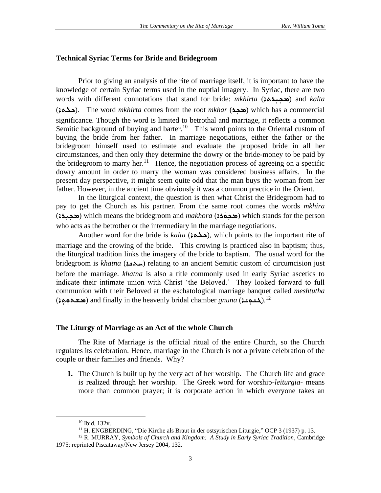### **Technical Syriac Terms for Bride and Bridegroom**

Prior to giving an analysis of the rite of marriage itself, it is important to have the knowledge of certain Syriac terms used in the nuptial imagery. In Syriac, there are two words with different connotations that stand for bride: *mkhirta* (محمده) and *kalta* (ܟܠܬܐ(. The word *mkhirta* comes from the root *mkhar* (ܟܪܼ ܡ (which has a commercial significance. Though the word is limited to betrothal and marriage, it reflects a common Semitic background of buying and barter.<sup>10</sup> This word points to the Oriental custom of buying the bride from her father. In marriage negotiations, either the father or the bridegroom himself used to estimate and evaluate the proposed bride in all her circumstances, and then only they determine the dowry or the bride-money to be paid by the bridegroom to marry her.<sup>11</sup> Hence, the negotiation process of agreeing on a specific dowry amount in order to marry the woman was considered business affairs. In the present day perspective, it might seem quite odd that the man buys the woman from her father. However, in the ancient time obviously it was a common practice in the Orient.

In the liturgical context, the question is then what Christ the Bridegroom had to pay to get the Church as his partner. From the same root comes the words *mkhira*  ܡ ܼܟ ܪܐ) *makhora* and bridegroom the means which) ܡ ܼܟ ܼܝܪܐ) ܘ ( which stands for the person ܿ who acts as the betrother or the intermediary in the marriage negotiations.

Another word for the bride is *kalta* (ܟܠܬܐ(, which points to the important rite of marriage and the crowing of the bride. This crowing is practiced also in baptism; thus, the liturgical tradition links the imagery of the bride to baptism. The usual word for the bridegroom is *khatna* (<u>سلام</u>ة) relating to an ancient Semitic custom of circumcision just before the marriage. *khatna* is also a title commonly used in early Syriac ascetics to indicate their intimate union with Christ 'the Beloved.' They looked forward to full communion with their Beloved at the eschatological marriage banquet called *meshtutha*  (خدود) and finally in the heavenly bridal chamber *gnuna* (حدود).<sup>12</sup>

### **The Liturgy of Marriage as an Act of the whole Church**

The Rite of Marriage is the official ritual of the entire Church, so the Church regulates its celebration. Hence, marriage in the Church is not a private celebration of the couple or their families and friends. Why?

**1.** The Church is built up by the very act of her worship. The Church life and grace is realized through her worship. The Greek word for worship-*leiturgia*- means more than common prayer; it is corporate action in which everyone takes an

<sup>10</sup> Ibid, 132v.

<sup>11</sup> H. ENGBERDING, "Die Kirche als Braut in der ostsyrischen Liturgie," OCP 3 (1937) p. 13.

<sup>12</sup> R. MURRAY, *Symbols of Church and Kingdom: A Study in Early Syriac Tradition*, Cambridge 1975; reprinted Piscataway/New Jersey 2004, 132.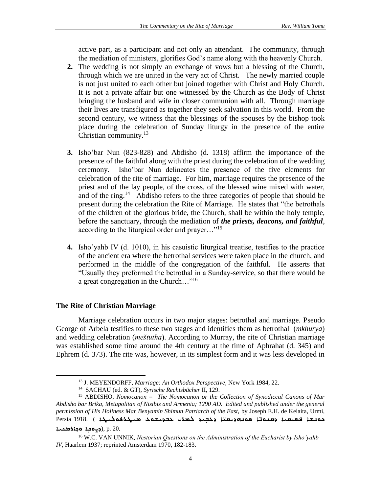active part, as a participant and not only an attendant. The community, through the mediation of ministers, glorifies God's name along with the heavenly Church.

- **2.** The wedding is not simply an exchange of vows but a blessing of the Church, through which we are united in the very act of Christ. The newly married couple is not just united to each other but joined together with Christ and Holy Church. It is not a private affair but one witnessed by the Church as the Body of Christ bringing the husband and wife in closer communion with all. Through marriage their lives are transfigured as together they seek salvation in this world. From the second century, we witness that the blessings of the spouses by the bishop took place during the celebration of Sunday liturgy in the presence of the entire Christian community.<sup>13</sup>
- **3.** Isho'bar Nun (823-828) and Abdisho (d. 1318) affirm the importance of the presence of the faithful along with the priest during the celebration of the wedding ceremony. Isho'bar Nun delineates the presence of the five elements for celebration of the rite of marriage. For him, marriage requires the presence of the priest and of the lay people, of the cross, of the blessed wine mixed with water, and of the ring.<sup>14</sup> Abdisho refers to the three categories of people that should be present during the celebration the Rite of Marriage. He states that "the betrothals of the children of the glorious bride, the Church, shall be within the holy temple, before the sanctuary, through the mediation of *the priests, deacons, and faithful*, according to the liturgical order and prayer..."<sup>15</sup>
- **4.** Isho'yahb IV (d. 1010), in his casuistic liturgical treatise, testifies to the practice of the ancient era where the betrothal services were taken place in the church, and performed in the middle of the congregation of the faithful. He asserts that "Usually they preformed the betrothal in a Sunday-service, so that there would be a great congregation in the Church…"<sup>16</sup>

## **The Rite of Christian Marriage**

Marriage celebration occurs in two major stages: betrothal and marriage. Pseudo George of Arbela testifies to these two stages and identifies them as betrothal (*mkhurya*) and wedding celebration (*meštutha*). According to Murray, the rite of Christian marriage was established some time around the 4th century at the time of Aphrahat (d. 345) and Ephrem (d. 373). The rite was, however, in its simplest form and it was less developed in

 $20.$ בּאָסּבְג סְּגוֹמּבּא $($ בְּא

<sup>13</sup> J. MEYENDORFF, *Marriage: An Orthodox Perspective*, New York 1984, 22.

<sup>14</sup> SACHAU (ed. & GT), *Syrische Rechtsbücher* II, 129.

<sup>15</sup> ABDISHO, *Nomocanon* = *The Nomocanon or the Collection of Synodiccal Canons of Mar Abdisho bar Brika, Metapolitan of Nisibis and Armenia; 1290 AD. Edited and published under the general permission of His Holiness Mar Benyamin Shimun Patriarch of the East,* by Joseph E.H. de Kelaita, Urmi, ܐ ܕܥ ܼܒܝܕ ) 1918. Persia ̈ ܐ ܣܘܢܗܕܝܩܝ ̈ ܟܘܢܫܐ ܦܣܝܩܝܐ ܕܩܢܘܢ ܠܡܪܝ ܥܒܕܝܫܘܥ ܡܝܛܪܦܘܠܝܛܐ

<sup>16</sup> W.C. VAN UNNIK, *Nestorian Questions on the Administration of the Eucharist by Isho'yahb IV*, Haarlem 1937; reprinted Amsterdam 1970, 182-183.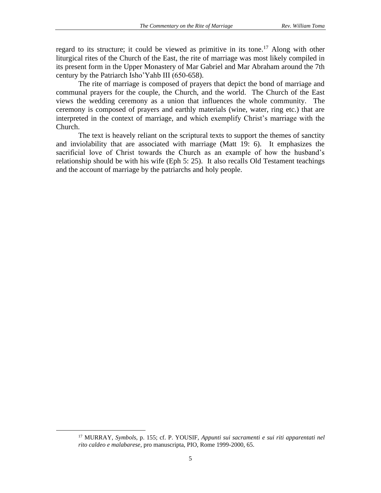regard to its structure; it could be viewed as primitive in its tone.<sup>17</sup> Along with other liturgical rites of the Church of the East, the rite of marriage was most likely compiled in its present form in the Upper Monastery of Mar Gabriel and Mar Abraham around the 7th century by the Patriarch Isho'Yahb III (650-658).

The rite of marriage is composed of prayers that depict the bond of marriage and communal prayers for the couple, the Church, and the world. The Church of the East views the wedding ceremony as a union that influences the whole community. The ceremony is composed of prayers and earthly materials (wine, water, ring etc.) that are interpreted in the context of marriage, and which exemplify Christ's marriage with the Church.

The text is heavely reliant on the scriptural texts to support the themes of sanctity and inviolability that are associated with marriage (Matt 19: 6). It emphasizes the sacrificial love of Christ towards the Church as an example of how the husband's relationship should be with his wife (Eph 5: 25). It also recalls Old Testament teachings and the account of marriage by the patriarchs and holy people.

<sup>17</sup> MURRAY, *Symbols*, p. 155; cf. P. YOUSIF, *Appunti sui sacramenti e sui riti apparentati nel rito caldeo e malabarese*, pro manuscripta, PIO, Rome 1999-2000, 65.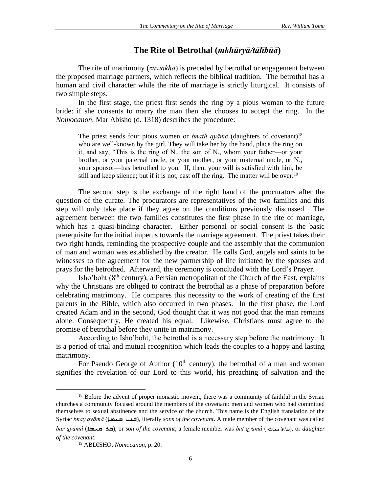# **The Rite of Betrothal (***mkhūryā/tālībūā***)**

The rite of matrimony (*zūwākhā*) is preceded by betrothal or engagement between the proposed marriage partners, which reflects the biblical tradition. The betrothal has a human and civil character while the rite of marriage is strictly liturgical. It consists of two simple steps.

In the first stage, the priest first sends the ring by a pious woman to the future bride: if she consents to marry the man then she chooses to accept the ring. In the *Nomocanon*, Mar Abisho (d. 1318) describes the procedure:

The priest sends four pious women or *bnath qyame* (daughters of covenant)<sup>18</sup> who are well-known by the girl. They will take her by the hand, place the ring on it, and say, "This is the ring of N., the son of N., whom your father—or your brother, or your paternal uncle, or your mother, or your maternal uncle, or N., your sponsor—has betrothed to you. If, then, your will is satisfied with him, be still and keep silence; but if it is not, cast off the ring. The matter will be over.<sup>19</sup>

The second step is the exchange of the right hand of the procurators after the question of the curate. The procurators are representatives of the two families and this step will only take place if they agree on the conditions previously discussed. The agreement between the two families constitutes the first phase in the rite of marriage, which has a quasi-binding character. Either personal or social consent is the basic prerequisite for the initial impetus towards the marriage agreement. The priest takes their two right hands, reminding the prospective couple and the assembly that the communion of man and woman was established by the creator. He calls God, angels and saints to be witnesses to the agreement for the new partnership of life initiated by the spouses and prays for the betrothed. Afterward, the ceremony is concluded with the Lord's Prayer.

Isho'boht  $(8<sup>th</sup>$  century), a Persian metropolitan of the Church of the East, explains why the Christians are obliged to contract the betrothal as a phase of preparation before celebrating matrimony. He compares this necessity to the work of creating of the first parents in the Bible, which also occurred in two phases. In the first phase, the Lord created Adam and in the second, God thought that it was not good that the man remains alone. Consequently, He created his equal. Likewise, Christians must agree to the promise of betrothal before they unite in matrimony.

According to Isho'boht, the betrothal is a necessary step before the matrimony. It is a period of trial and mutual recognition which leads the couples to a happy and lasting matrimony.

For Pseudo George of Author  $(10<sup>th</sup>$  century), the betrothal of a man and woman signifies the revelation of our Lord to this world, his preaching of salvation and the

<sup>&</sup>lt;sup>18</sup> Before the advent of proper monastic movent, there was a community of faithful in the Syriac churches a community focused around the members of the covenant: men and women who had committed themselves to [sexual abstinence](http://en.wikipedia.org/wiki/Sexual_abstinence) and the service of the church. This name is the English translation of the [Syriac](http://en.wikipedia.org/wiki/Syriac_language) *bnay qyāmâ* (ܩܝܡܐ ܒܢܝ(, literally *sons of the covenant*. A male member of the covenant was called

*bar qyāmâ* (ܩܝܡܐ ܒܪ(, or *son of the covenant*; a female member was *bat qyāmâ* (ܩܝܡܐ ܒܪܬ(, or *daughter of the covenant*.

<sup>19</sup> ABDISHO, *Nomocanon*, p. 20.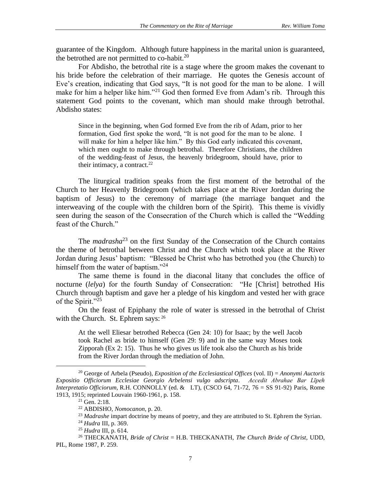guarantee of the Kingdom. Although future happiness in the marital union is guaranteed, the betrothed are not permitted to co-habit. $20$ 

For Abdisho, the betrothal rite is a stage where the groom makes the covenant to his bride before the celebration of their marriage. He quotes the Genesis account of Eve's creation, indicating that God says, "It is not good for the man to be alone. I will make for him a helper like him."<sup>21</sup> God then formed Eve from Adam's rib. Through this statement God points to the covenant, which man should make through betrothal. Abdisho states:

Since in the beginning, when God formed Eve from the rib of Adam, prior to her formation, God first spoke the word, "It is not good for the man to be alone. I will make for him a helper like him." By this God early indicated this covenant, which men ought to make through betrothal. Therefore Christians, the children of the wedding-feast of Jesus, the heavenly bridegroom, should have, prior to their intimacy, a contract. $^{22}$ 

The liturgical tradition speaks from the first moment of the betrothal of the Church to her Heavenly Bridegroom (which takes place at the River Jordan during the baptism of Jesus) to the ceremony of marriage (the marriage banquet and the interweaving of the couple with the children born of the Spirit). This theme is vividly seen during the season of the Consecration of the Church which is called the "Wedding feast of the Church."

The *madrasha*<sup>23</sup> on the first Sunday of the Consecration of the Church contains the theme of betrothal between Christ and the Church which took place at the River Jordan during Jesus' baptism: "Blessed be Christ who has betrothed you (the Church) to himself from the water of baptism."<sup>24</sup> 

The same theme is found in the diaconal litany that concludes the office of nocturne (*lelya*) for the fourth Sunday of Consecration: "He [Christ] betrothed His Church through baptism and gave her a pledge of his kingdom and vested her with grace of the Spirit."<sup>25</sup>

On the feast of Epiphany the role of water is stressed in the betrothal of Christ with the Church. St. Ephrem says: <sup>26</sup>

At the well Eliesar betrothed Rebecca (Gen 24: 10) for Isaac; by the well Jacob took Rachel as bride to himself (Gen 29: 9) and in the same way Moses took Zipporah (Ex 2: 15). Thus he who gives us life took also the Church as his bride from the River Jordan through the mediation of John.

<sup>20</sup> George of Arbela (Pseudo), *Exposition of the Ecclesiastical Offices* (vol. II) = *Anonymi Auctoris Expositio Officiorum Ecclesiae Georgio Arbelensi vulgo adscripta*. *Accedit Abrahae Bar Līpeh Interpretatio Officiorum,* R.H. CONNOLLY (ed. & LT), (CSCO 64, 71-72, 76 = SS 91-92) Paris, Rome 1913, 1915; reprinted Louvain 1960-1961, p. 158.

 $21$  Gen. 2:18.

<sup>22</sup> ABDISHO, *Nomocanon*, p. 20.

<sup>&</sup>lt;sup>23</sup> Madrashe impart doctrine by means of poetry, and they are attributed to St. Ephrem the Syrian.

<sup>24</sup> *Hudra* III, p. 369.

<sup>25</sup> *Hudra* III, p. 614.

<sup>26</sup> THECKANATH, *Bride of Christ* = H.B. THECKANATH, *The Church Bride of Christ*, UDD, PIL, Rome 1987, P. 259.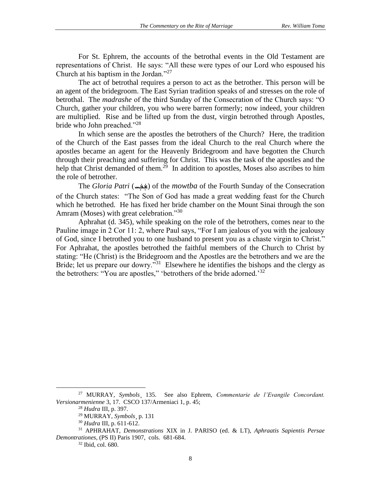For St. Ephrem, the accounts of the betrothal events in the Old Testament are representations of Christ. He says: "All these were types of our Lord who espoused his Church at his baptism in the Jordan."<sup>27</sup>

The act of betrothal requires a person to act as the betrother. This person will be an agent of the bridegroom. The East Syrian tradition speaks of and stresses on the role of betrothal. The *madrashe* of the third Sunday of the Consecration of the Church says: "O Church, gather your children, you who were barren formerly; now indeed, your children are multiplied. Rise and be lifted up from the dust, virgin betrothed through Apostles, bride who John preached."<sup>28</sup>

In which sense are the apostles the betrothers of the Church? Here, the tradition of the Church of the East passes from the ideal Church to the real Church where the apostles became an agent for the Heavenly Bridegroom and have begotten the Church through their preaching and suffering for Christ. This was the task of the apostles and the help that Christ demanded of them.<sup>29</sup> In addition to apostles, Moses also ascribes to him the role of betrother.

The *Gloria Patri* ( ܼܫ ܿ ܒܚܼ ( of the *mowtba* of the Fourth Sunday of the Consecration ܿ of the Church states: "The Son of God has made a great wedding feast for the Church which he betrothed. He has fixed her bride chamber on the Mount Sinai through the son Amram (Moses) with great celebration."30

Aphrahat (d. 345), while speaking on the role of the betrothers, comes near to the Pauline image in 2 Cor 11: 2, where Paul says, "For I am jealous of you with the jealousy of God, since I betrothed you to one husband to present you as a chaste virgin to Christ." For Aphrahat, the apostles betrothed the faithful members of the Church to Christ by stating: "He (Christ) is the Bridegroom and the Apostles are the betrothers and we are the Bride; let us prepare our dowry."<sup>31</sup> Elsewhere he identifies the bishops and the clergy as the betrothers: "You are apostles," 'betrothers of the bride adorned.'<sup>32</sup>

<sup>32</sup> Ibid, col. 680.

<sup>27</sup> MURRAY, *Symbols*¸ 135. See also Ephrem, *Commentarie de l'Evangile Concordant. Versionarmenienne* 3, 17. CSCO 137/Armeniaci 1, p. 45;

<sup>28</sup> *Hudra* III, p. 397.

<sup>29</sup> MURRAY, *Symbols*¸ p. 131

<sup>30</sup> *Hudra* III, p. 611-612.

<sup>31</sup> APHRAHAT, *Demonstrations* XIX in J. PARISO (ed. & LT), *Aphraatis Sapientis Persae Demontrationes*, (PS II) Paris 1907, cols. 681-684.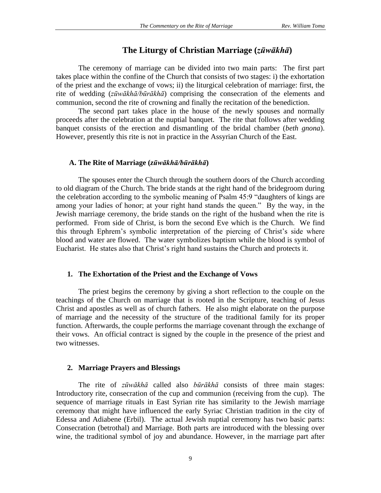# **The Liturgy of Christian Marriage (***zūwākhā***)**

The ceremony of marriage can be divided into two main parts: The first part takes place within the confine of the Church that consists of two stages: i) the exhortation of the priest and the exchange of vows; ii) the liturgical celebration of marriage: first, the rite of wedding (*zūwākhā/būrākhā*) comprising the consecration of the elements and communion, second the rite of crowning and finally the recitation of the benediction.

The second part takes place in the house of the newly spouses and normally proceeds after the celebration at the nuptial banquet. The rite that follows after wedding banquet consists of the erection and dismantling of the bridal chamber (*beth gnona*). However, presently this rite is not in practice in the Assyrian Church of the East.

#### **A. The Rite of Marriage (***zūwākhā/būrākhā***)**

The spouses enter the Church through the southern doors of the Church according to old diagram of the Church. The bride stands at the right hand of the bridegroom during the celebration according to the symbolic meaning of Psalm 45:9 "daughters of kings are among your ladies of honor; at your right hand stands the queen." By the way, in the Jewish marriage ceremony, the bride stands on the right of the husband when the rite is performed. From side of Christ, is born the second Eve which is the Church. We find this through Ephrem's symbolic interpretation of the piercing of Christ's side where blood and water are flowed. The water symbolizes baptism while the blood is symbol of Eucharist. He states also that Christ's right hand sustains the Church and protects it.

### **1. The Exhortation of the Priest and the Exchange of Vows**

The priest begins the ceremony by giving a short reflection to the couple on the teachings of the Church on marriage that is rooted in the Scripture, teaching of Jesus Christ and apostles as well as of church fathers. He also might elaborate on the purpose of marriage and the necessity of the structure of the traditional family for its proper function. Afterwards, the couple performs the marriage covenant through the exchange of their vows. An official contract is signed by the couple in the presence of the priest and two witnesses.

### **2. Marriage Prayers and Blessings**

The rite of *zūwākhā* called also *būrākhā* consists of three main stages: Introductory rite, consecration of the cup and communion (receiving from the cup). The sequence of marriage rituals in East Syrian rite has similarity to the Jewish marriage ceremony that might have influenced the early Syriac Christian tradition in the city of Edessa and Adiabene (Erbil). The actual Jewish nuptial ceremony has two basic parts: Consecration (betrothal) and Marriage. Both parts are introduced with the blessing over wine, the traditional symbol of joy and abundance. However, in the marriage part after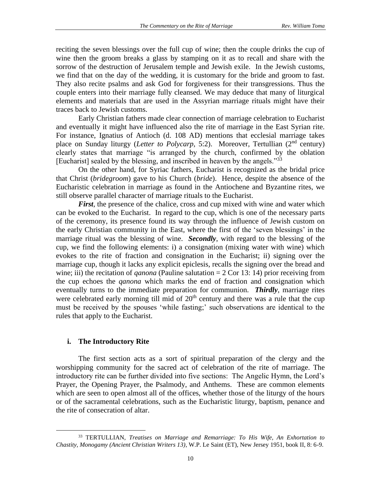reciting the seven blessings over the full cup of wine; then the couple drinks the cup of wine then the groom breaks a glass by stamping on it as to recall and share with the sorrow of the destruction of Jerusalem temple and Jewish exile. In the Jewish customs, we find that on the day of the wedding, it is customary for the bride and groom to fast. They also recite psalms and ask God for forgiveness for their transgressions. Thus the couple enters into their marriage fully cleansed. We may deduce that many of liturgical elements and materials that are used in the Assyrian marriage rituals might have their traces back to Jewish customs.

Early Christian fathers made clear connection of marriage celebration to Eucharist and eventually it might have influenced also the rite of marriage in the East Syrian rite. For instance, Ignatius of Antioch (d. 108 AD) mentions that ecclesial marriage takes place on Sunday liturgy (*Letter to Polycarp*, 5:2). Moreover, Tertullian (2nd century) clearly states that marriage "is arranged by the church, confirmed by the oblation [Eucharist] sealed by the blessing, and inscribed in heaven by the angels."<sup>33</sup>

On the other hand, for Syriac fathers, Eucharist is recognized as the bridal price that Christ (*bridegroom*) gave to his Church (*bride*). Hence, despite the absence of the Eucharistic celebration in marriage as found in the Antiochene and Byzantine rites, we still observe parallel character of marriage rituals to the Eucharist.

*First*, the presence of the chalice, cross and cup mixed with wine and water which can be evoked to the Eucharist. In regard to the cup, which is one of the necessary parts of the ceremony, its presence found its way through the influence of Jewish custom on the early Christian community in the East, where the first of the 'seven blessings' in the marriage ritual was the blessing of wine. *Secondly*, with regard to the blessing of the cup, we find the following elements: i) a consignation (mixing water with wine) which evokes to the rite of fraction and consignation in the Eucharist; ii) signing over the marriage cup, though it lacks any explicit epiclesis, recalls the signing over the bread and wine; iii) the recitation of *qanona* (Pauline salutation  $= 2$  Cor 13: 14) prior receiving from the cup echoes the *qanona* which marks the end of fraction and consignation which eventually turns to the immediate preparation for communion. *Thirdly*, marriage rites were celebrated early morning till mid of  $20<sup>th</sup>$  century and there was a rule that the cup must be received by the spouses 'while fasting;' such observations are identical to the rules that apply to the Eucharist.

# **i. The Introductory Rite**

The first section acts as a sort of spiritual preparation of the clergy and the worshipping community for the sacred act of celebration of the rite of marriage. The introductory rite can be further divided into five sections: The Angelic Hymn, the Lord's Prayer, the Opening Prayer, the Psalmody, and Anthems. These are common elements which are seen to open almost all of the offices, whether those of the liturgy of the hours or of the sacramental celebrations, such as the Eucharistic liturgy, baptism, penance and the rite of consecration of altar.

<sup>33</sup> TERTULLIAN, *Treatises on Marriage and Remarriage: To His Wife, An Exhortation to Chastity, Monogamy (Ancient Christian Writers 13)*, W.P. Le Saint (ET), New Jersey 1951, book II, 8: 6-9.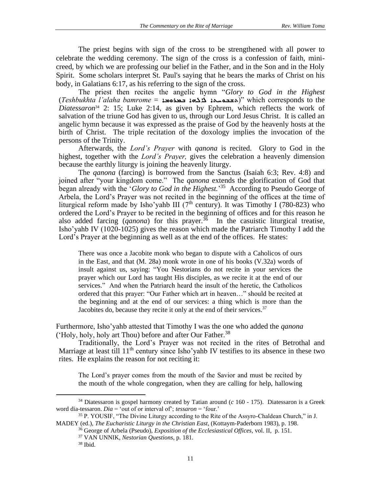The priest begins with sign of the cross to be strengthened with all power to celebrate the wedding ceremony. The sign of the cross is a confession of faith, minicreed, by which we are professing our belief in the Father, and in the Son and in the Holy Spirit. Some scholars interpret St. Paul's saying that he bears the marks of Christ on his body, in Galatians 6:17, as his referring to the sign of the cross.

The priest then recites the angelic hymn "*Glory to God in the Highest*  (*Teshbukhta l'alaha bamrome* = ܒܡܪܘܡܐ ܐܠܠܗܐ ܬܫܒܘܚܬܐ "(which corresponds to the *Diatessaron*<sup>34</sup> 2: 15; Luke 2:14, as given by Ephrem, which reflects the work of salvation of the triune God has given to us, through our Lord Jesus Christ. It is called an angelic hymn because it was expressed as the praise of God by the heavenly hosts at the birth of Christ. The triple recitation of the doxology implies the invocation of the persons of the Trinity.

Afterwards, the *Lord's Prayer* with *qanona* is recited. Glory to God in the highest, together with the *Lord's Prayer,* gives the celebration a heavenly dimension because the earthly liturgy is joining the heavenly liturgy.

The *qanona* (farcing) is borrowed from the Sanctus (Isaiah 6:3; Rev. 4:8) and joined after "your kingdom come." The *qanona* extends the glorification of God that began already with the '*Glory to God in the Highest.*' 35 According to Pseudo George of Arbela, the Lord's Prayer was not recited in the beginning of the offices at the time of liturgical reform made by Isho'yahb III ( $7<sup>th</sup>$  century). It was Timothy I (780-823) who ordered the Lord's Prayer to be recited in the beginning of offices and for this reason he also added farcing  $(qanona)$  for this prayer.<sup>36</sup> In the casuistic liturgical treatise, Isho'yahb IV (1020-1025) gives the reason which made the Patriarch Timothy I add the Lord's Prayer at the beginning as well as at the end of the offices. He states:

There was once a Jacobite monk who began to dispute with a Caholicos of ours in the East, and that (M. 28a) monk wrote in one of his books (V.32a) words of insult against us, saying: "You Nestorians do not recite in your services the prayer which our Lord has taught His disciples, as we recite it at the end of our services." And when the Patriarch heard the insult of the heretic, the Catholicos ordered that this prayer: "Our Father which art in heaven…" should be recited at the beginning and at the end of our services: a thing which is more than the Jacobites do, because they recite it only at the end of their services.<sup>37</sup>

Furthermore, Isho'yahb attested that Timothy I was the one who added the *qanona*  ('Holy, holy, holy art Thou) before and after Our Father.<sup>38</sup>

Traditionally, the Lord's Prayer was not recited in the rites of Betrothal and Marriage at least till 11<sup>th</sup> century since Isho'yahb IV testifies to its absence in these two rites. He explains the reason for not reciting it:

The Lord's prayer comes from the mouth of the Savior and must be recited by the mouth of the whole congregation, when they are calling for help, hallowing

<sup>34</sup> Diatessaron is gospel harmony created by Tatian around (*c* 160 - 175). Diatessaron is a Greek word dia-tessaron. *Dia* = 'out of or interval of'; *tessaron* = 'four.'

<sup>35</sup> P. YOUSIF, "The Divine Liturgy according to the Rite of the Assyro-Chaldean Church," in J. MADEY (ed.), *The Eucharistic Liturgy in the Christian East*, (Kottaym-Paderborn 1983), p. 198.

<sup>36</sup> George of Arbela (Pseudo), *Exposition of the Ecclesiastical Offices,* vol. II, p. 151.

<sup>37</sup> VAN UNNIK, *Nestorian Questions*, p. 181.

<sup>38</sup> Ibid.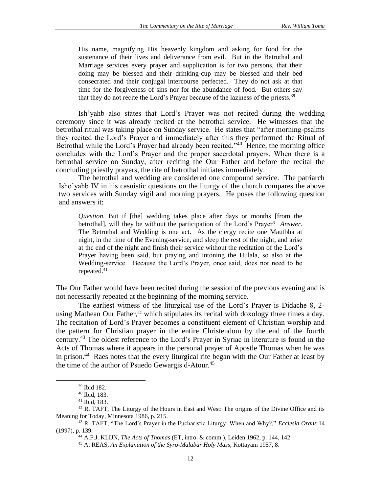His name, magnifying His heavenly kingdom and asking for food for the sustenance of their lives and deliverance from evil. But in the Betrothal and Marriage services every prayer and supplication is for two persons, that their doing may be blessed and their drinking-cup may be blessed and their bed consecrated and their conjugal intercourse perfected. They do not ask at that time for the forgiveness of sins nor for the abundance of food. But others say that they do not recite the Lord's Prayer because of the laziness of the priests.<sup>39</sup>

Ish'yahb also states that Lord's Prayer was not recited during the wedding ceremony since it was already recited at the betrothal service. He witnesses that the betrothal ritual was taking place on Sunday service. He states that "after morning-psalms they recited the Lord's Prayer and immediately after this they performed the Ritual of Betrothal while the Lord's Prayer had already been recited."<sup>40</sup> Hence, the morning office concludes with the Lord's Prayer and the proper sacerdotal prayers. When there is a betrothal service on Sunday, after reciting the Our Father and before the recital the concluding priestly prayers, the rite of betrothal initiates immediately.

The betrothal and wedding are considered one compound service. The patriarch Isho'yahb IV in his casuistic questions on the liturgy of the church compares the above two services with Sunday vigil and morning prayers. He poses the following question and answers it:

*Question.* But if [the] wedding takes place after days or months [from the betrothal], will they be without the participation of the Lord's Prayer? *Answer*. The Betrothal and Wedding is one act. As the clergy recite one Mautbha at night, in the time of the Evening-service, and sleep the rest of the night, and arise at the end of the night and finish their service without the recitation of the Lord's Prayer having been said, but praying and intoning the Hulala, so also at the Wedding-service. Because the Lord's Prayer, once said, does not need to be repeated.<sup>41</sup>

The Our Father would have been recited during the session of the previous evening and is not necessarily repeated at the beginning of the morning service.

The earliest witness of the liturgical use of the Lord's Prayer is Didache 8, 2 using Mathean Our Father, $42$  which stipulates its recital with doxology three times a day. The recitation of Lord's Prayer becomes a constituent element of Christian worship and the pattern for Christian prayer in the entire Christendom by the end of the fourth century.<sup>43</sup> The oldest reference to the Lord's Prayer in Syriac in literature is found in the Acts of Thomas where it appears in the personal prayer of Apostle Thomas when he was in prison.<sup>44</sup> Raes notes that the every liturgical rite began with the Our Father at least by the time of the author of Psuedo Gewargis d-Atour.<sup>45</sup>

<sup>39</sup> Ibid 182.

<sup>40</sup> Ibid, 183.

<sup>41</sup> Ibid, 183.

<sup>&</sup>lt;sup>42</sup> R. TAFT, The Liturgy of the Hours in East and West: The origins of the Divine Office and its Meaning for Today, Minnesota 1986, p. 215.

<sup>43</sup> R. TAFT, "The Lord's Prayer in the Eucharistic Liturgy: When and Why?," *Ecclesia Orans* 14 (1997), p. 139.

<sup>44</sup> A.F.J. KLIJN, *The Acts of Thomas* (ET, intro. & comm.), Leiden 1962, p. 144, 142.

<sup>45</sup> A. REAS, *An Explanation of the Syro-Malabar Holy Mass*, Kottayam 1957, 8.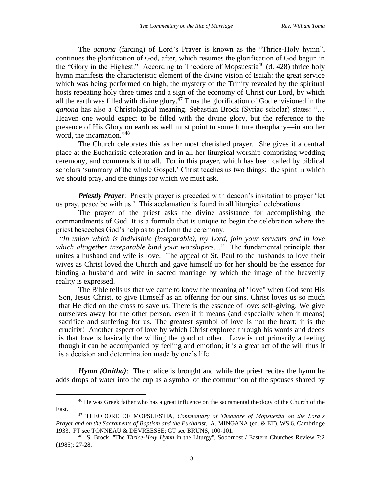The *qanona* (farcing) of Lord's Prayer is known as the "Thrice-Holy hymn", continues the glorification of God, after, which resumes the glorification of God begun in the "Glory in the Highest." According to Theodore of Mopsuestia<sup>46</sup> (d. 428) thrice holy hymn manifests the characteristic element of the divine vision of Isaiah: the great service which was being performed on high, the mystery of the Trinity revealed by the spiritual hosts repeating holy three times and a sign of the economy of Christ our Lord, by which all the earth was filled with divine glory. $47$  Thus the glorification of God envisioned in the *qanona* has also a Christological meaning. Sebastian Brock (Syriac scholar) states: "… Heaven one would expect to be filled with the divine glory, but the reference to the presence of His Glory on earth as well must point to some future theophany—in another word, the incarnation."<sup>48</sup>

The Church celebrates this as her most cherished prayer. She gives it a central place at the Eucharistic celebration and in all her liturgical worship comprising wedding ceremony, and commends it to all. For in this prayer, which has been called by biblical scholars 'summary of the whole Gospel,' Christ teaches us two things: the spirit in which we should pray, and the things for which we must ask.

*Priestly Prayer*: Priestly prayer is preceded with deacon's invitation to prayer 'let us pray, peace be with us.' This acclamation is found in all liturgical celebrations.

The prayer of the priest asks the divine assistance for accomplishing the commandments of God. It is a formula that is unique to begin the celebration where the priest beseeches God's help as to perform the ceremony.

 "*In union which is indivisible (inseparable), my Lord, join your servants and in love which altogether inseparable bind your worshipers*…" The fundamental principle that unites a husband and wife is love. The appeal of St. Paul to the husbands to love their wives as Christ loved the Church and gave himself up for her should be the essence for binding a husband and wife in sacred marriage by which the image of the heavenly reality is expressed.

The Bible tells us that we came to know the meaning of "love" when God sent His Son, Jesus Christ, to give Himself as an offering for our sins. Christ loves us so much that He died on the cross to save us. There is the essence of love: self-giving. We give ourselves away for the other person, even if it means (and especially when it means) sacrifice and suffering for us. The greatest symbol of love is not the heart; it is the crucifix! Another aspect of love by which Christ explored through his words and deeds is that love is basically the willing the good of other. Love is not primarily a feeling though it can be accompanied by feeling and emotion; it is a great act of the will thus it is a decision and determination made by one's life.

*Hymn (Onitha)*: The chalice is brought and while the priest recites the hymn he adds drops of water into the cup as a symbol of the communion of the spouses shared by

<sup>&</sup>lt;sup>46</sup> He was Greek father who has a great influence on the sacramental theology of the Church of the East.

<sup>47</sup> THEODORE OF MOPSUESTIA, *Commentary of Theodore of Mopsuestia on the Lord's Prayer and on the Sacraments of Baptism and the Eucharist*, A. MINGANA (ed. & ET), WS 6, Cambridge 1933. FT see TONNEAU & DEVREESSE; GT see BRUNS, 100-101.

<sup>48</sup> S. Brock, ''The *Thrice*-*Holy Hymn* in the Liturgy'', Sobornost / Eastern Churches Review 7:2 (1985): 27-28.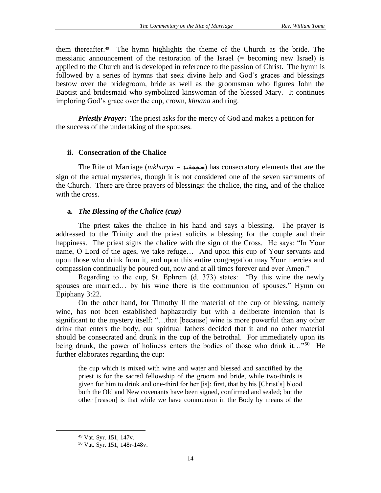them thereafter.<sup>49</sup> The hymn highlights the theme of the Church as the bride. The messianic announcement of the restoration of the Israel (= becoming new Israel) is applied to the Church and is developed in reference to the passion of Christ. The hymn is followed by a series of hymns that seek divine help and God's graces and blessings bestow over the bridegroom, bride as well as the groomsman who figures John the Baptist and bridesmaid who symbolized kinswoman of the blessed Mary. It continues imploring God's grace over the cup, crown, *khnana* and ring.

*Priestly Prayer***:** The priest asks for the mercy of God and makes a petition for the success of the undertaking of the spouses.

## **ii. Consecration of the Chalice**

The Rite of Marriage (*mkhurya* = محبوفد) has consecratory elements that are the sign of the actual mysteries, though it is not considered one of the seven sacraments of the Church. There are three prayers of blessings: the chalice, the ring, and of the chalice with the cross.

# **a.** *The Blessing of the Chalice (cup)*

The priest takes the chalice in his hand and says a blessing. The prayer is addressed to the Trinity and the priest solicits a blessing for the couple and their happiness. The priest signs the chalice with the sign of the Cross. He says: "In Your name, O Lord of the ages, we take refuge… And upon this cup of Your servants and upon those who drink from it, and upon this entire congregation may Your mercies and compassion continually be poured out, now and at all times forever and ever Amen."

Regarding to the cup, St. Ephrem (d. 373) states: "By this wine the newly spouses are married… by his wine there is the communion of spouses." Hymn on Epiphany 3:22.

On the other hand, for Timothy II the material of the cup of blessing, namely wine, has not been established haphazardly but with a deliberate intention that is significant to the mystery itself: "…that [because] wine is more powerful than any other drink that enters the body, our spiritual fathers decided that it and no other material should be consecrated and drunk in the cup of the betrothal. For immediately upon its being drunk, the power of holiness enters the bodies of those who drink it..."<sup>50</sup> He further elaborates regarding the cup:

the cup which is mixed with wine and water and blessed and sanctified by the priest is for the sacred fellowship of the groom and bride, while two-thirds is given for him to drink and one-third for her [is]: first, that by his [Christ's] blood both the Old and New covenants have been signed, confirmed and sealed; but the other [reason] is that while we have communion in the Body by means of the

<sup>49</sup> Vat. Syr. 151, 147v.

<sup>50</sup> Vat. Syr. 151, 148r-148v.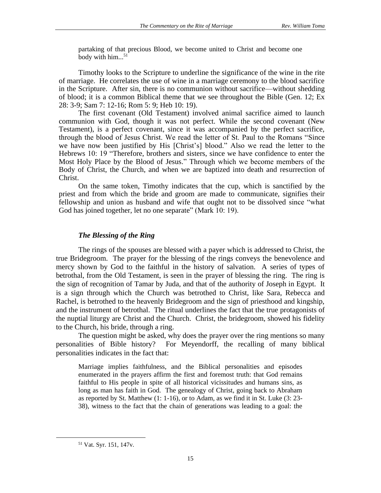partaking of that precious Blood, we become united to Christ and become one body with him...<sup>51</sup>

Timothy looks to the Scripture to underline the significance of the wine in the rite of marriage. He correlates the use of wine in a marriage ceremony to the blood sacrifice in the Scripture. After sin, there is no communion without sacrifice—without shedding of blood; it is a common Biblical theme that we see throughout the Bible (Gen. 12; Ex 28: 3-9; Sam 7: 12-16; Rom 5: 9; Heb 10: 19).

The first covenant (Old Testament) involved animal sacrifice aimed to launch communion with God, though it was not perfect. While the second covenant (New Testament), is a perfect covenant, since it was accompanied by the perfect sacrifice, through the blood of Jesus Christ. We read the letter of St. Paul to the Romans "Since we have now been justified by His [Christ's] blood." Also we read the letter to the Hebrews 10: 19 "Therefore, brothers and sisters, since we have confidence to enter the Most Holy Place by the Blood of Jesus." Through which we become members of the Body of Christ, the Church, and when we are baptized into death and resurrection of Christ.

On the same token, Timothy indicates that the cup, which is sanctified by the priest and from which the bride and groom are made to communicate, signifies their fellowship and union as husband and wife that ought not to be dissolved since "what God has joined together, let no one separate" (Mark 10: 19).

### *The Blessing of the Ring*

The rings of the spouses are blessed with a payer which is addressed to Christ, the true Bridegroom. The prayer for the blessing of the rings conveys the benevolence and mercy shown by God to the faithful in the history of salvation. A series of types of betrothal, from the Old Testament, is seen in the prayer of blessing the ring. The ring is the sign of recognition of Tamar by Juda, and that of the authority of Joseph in Egypt. It is a sign through which the Church was betrothed to Christ, like Sara, Rebecca and Rachel, is betrothed to the heavenly Bridegroom and the sign of priesthood and kingship, and the instrument of betrothal. The ritual underlines the fact that the true protagonists of the nuptial liturgy are Christ and the Church. Christ, the bridegroom, showed his fidelity to the Church, his bride, through a ring.

The question might be asked, why does the prayer over the ring mentions so many personalities of Bible history? For Meyendorff, the recalling of many biblical personalities indicates in the fact that:

Marriage implies faithfulness, and the Biblical personalities and episodes enumerated in the prayers affirm the first and foremost truth: that God remains faithful to His people in spite of all historical vicissitudes and humans sins, as long as man has faith in God. The genealogy of Christ, going back to Abraham as reported by St. Matthew (1: 1-16), or to Adam, as we find it in St. Luke (3: 23- 38), witness to the fact that the chain of generations was leading to a goal: the

<sup>51</sup> Vat. Syr. 151, 147v.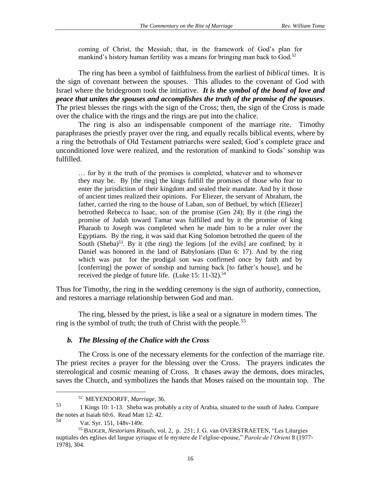coming of Christ, the Messiah; that, in the framework of God's plan for mankind's history human fertility was a means for bringing man back to God.<sup>52</sup>

The ring has been a symbol of faithfulness from the earliest of *biblical* times. It is the sign of covenant between the spouses. This alludes to the covenant of God with Israel where the bridegroom took the initiative. *It is the symbol of the bond of love and peace that unites the spouses and accomplishes the truth of the promise of the spouses*. The priest blesses the rings with the sign of the Cross; then, the sign of the Cross is made over the chalice with the rings and the rings are put into the chalice.

The ring is also an indispensable component of the marriage rite. Timothy paraphrases the priestly prayer over the ring, and equally recalls biblical events, where by a ring the betrothals of Old Testament patriarchs were sealed; God's complete grace and unconditioned love were realized, and the restoration of mankind to Gods' sonship was fulfilled.

… for by it the truth of the promises is completed, whatever and to whomever they may be. By [the ring] the kings fulfill the promises of those who fear to enter the jurisdiction of their kingdom and sealed their mandate. And by it those of ancient times realized their opinions. For Eliezer, the servant of Abraham, the father, carried the ring to the house of Laban, son of Bethuel, by which [Eliezer] betrothed Rebecca to Isaac, son of the promise (Gen 24); By it (the ring) the promise of Judah toward Tamar was fulfilled and by it the promise of king Pharaoh to Joseph was completed when he made him to be a ruler over the Egyptians. By the ring, it was said that King Solomon betrothed the queen of the South (Sheba)<sup>53</sup>. By it (the ring) the legions [of the evils] are confined; by it Daniel was honored in the land of Babylonians (Dan 6: 17). And by the ring which was put for the prodigal son was confirmed once by faith and by [conferring] the power of sonship and turning back [to father's house], and he received the pledge of future life. (Luke 15: 11-32).<sup>54</sup>

Thus for Timothy, the ring in the wedding ceremony is the sign of authority, connection, and restores a marriage relationship between God and man.

The ring, blessed by the priest, is like a seal or a signature in modern times. The ring is the symbol of truth; the truth of Christ with the people.<sup>55</sup>

### *b. The Blessing of the Chalice with the Cross*

The Cross is one of the necessary elements for the confection of the marriage rite. The priest recites a prayer for the blessing over the Cross. The prayers indicates the stereological and cosmic meaning of Cross. It chases away the demons, does miracles, saves the Church, and symbolizes the hands that Moses raised on the mountain top. The

<sup>52</sup> MEYENDORFF, *Marriage*, 36.

<sup>&</sup>lt;sup>53</sup> 1 Kings 10: 1-13. Sheba was probably a city of Arabia, situated to the south of Judea. Compare the notes at [Isaiah 60:6.](http://bible.cc/isaiah/60-6.htm) Read Matt 12: 42.<br> $54$  Met Sur 151, 149y 140r

Vat. Syr. 151, 148v-149r.

<sup>55</sup> BADGER, *Nestorians Rituals*, vol. 2, p. 251; J. G. van OVERSTRAETEN, "Les Liturgies nuptiales des eglises del langue syriaque et le mystere de l'elglise-epouse," *Parole de l'Orient* 8 (1977- 1978), 304.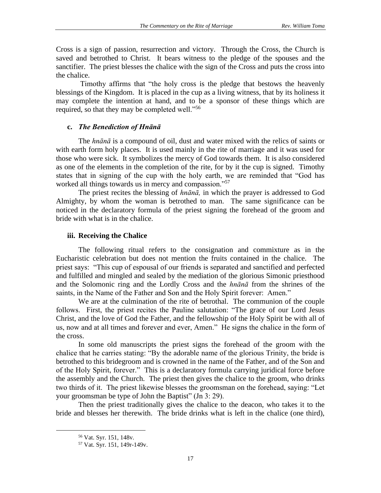Cross is a sign of passion, resurrection and victory. Through the Cross, the Church is saved and betrothed to Christ. It bears witness to the pledge of the spouses and the sanctifier. The priest blesses the chalice with the sign of the Cross and puts the cross into the chalice.

Timothy affirms that "the holy cross is the pledge that bestows the heavenly blessings of the Kingdom. It is placed in the cup as a living witness, that by its holiness it may complete the intention at hand, and to be a sponsor of these things which are required, so that they may be completed well."<sup>56</sup>

## **c.** *The Benediction of Hnānā*

The *hnānā* is a compound of oil, dust and water mixed with the relics of saints or with earth form holy places. It is used mainly in the rite of marriage and it was used for those who were sick. It symbolizes the mercy of God towards them. It is also considered as one of the elements in the completion of the rite, for by it the cup is signed. Timothy states that in signing of the cup with the holy earth, we are reminded that "God has worked all things towards us in mercy and compassion."<sup>57</sup>

The priest recites the blessing of *hnānā,* in which the prayer is addressed to God Almighty, by whom the woman is betrothed to man. The same significance can be noticed in the declaratory formula of the priest signing the forehead of the groom and bride with what is in the chalice.

# **iii. Receiving the Chalice**

The following ritual refers to the consignation and commixture as in the Eucharistic celebration but does not mention the fruits contained in the chalice. The priest says: "This cup of espousal of our friends is separated and sanctified and perfected and fulfilled and mingled and sealed by the mediation of the glorious Simonic priesthood and the Solomonic ring and the Lordly Cross and the *hnānā* from the shrines of the saints, in the Name of the Father and Son and the Holy Spirit forever: Amen."

We are at the culmination of the rite of betrothal. The communion of the couple follows. First, the priest recites the Pauline salutation: "The grace of our Lord Jesus Christ, and the love of God the Father, and the fellowship of the Holy Spirit be with all of us, now and at all times and forever and ever, Amen." He signs the chalice in the form of the cross.

In some old manuscripts the priest signs the forehead of the groom with the chalice that he carries stating: "By the adorable name of the glorious Trinity, the bride is betrothed to this bridegroom and is crowned in the name of the Father, and of the Son and of the Holy Spirit, forever." This is a declaratory formula carrying juridical force before the assembly and the Church. The priest then gives the chalice to the groom, who drinks two thirds of it. The priest likewise blesses the groomsman on the forehead, saying: "Let your groomsman be type of John the Baptist" (Jn 3: 29).

Then the priest traditionally gives the chalice to the deacon, who takes it to the bride and blesses her therewith. The bride drinks what is left in the chalice (one third),

<sup>56</sup> Vat. Syr. 151, 148v.

<sup>57</sup> Vat. Syr. 151, 149r-149v.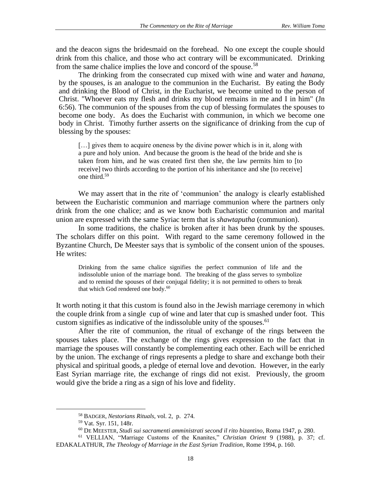and the deacon signs the bridesmaid on the forehead. No one except the couple should drink from this chalice, and those who act contrary will be excommunicated. Drinking from the same chalice implies the love and concord of the spouse.<sup>58</sup>

The drinking from the consecrated cup mixed with wine and water and *hanana,*  by the spouses, is an analogue to the communion in the Eucharist. By eating the Body and drinking the Blood of Christ, in the Eucharist, we become united to the person of Christ. "Whoever eats my flesh and drinks my blood remains in me and I in him" (Jn 6:56). The communion of the spouses from the cup of blessing formulates the spouses to become one body. As does the Eucharist with communion, in which we become one body in Christ. Timothy further asserts on the significance of drinking from the cup of blessing by the spouses:

[...] gives them to acquire oneness by the divine power which is in it, along with a pure and holy union. And because the groom is the head of the bride and she is taken from him, and he was created first then she, the law permits him to [to receive] two thirds according to the portion of his inheritance and she [to receive] one third.<sup>59</sup>

We may assert that in the rite of 'communion' the analogy is clearly established between the Eucharistic communion and marriage communion where the partners only drink from the one chalice; and as we know both Eucharistic communion and marital union are expressed with the same Syriac term that is *shawtaputha* (communion).

In some traditions, the chalice is broken after it has been drunk by the spouses. The scholars differ on this point. With regard to the same ceremony followed in the Byzantine Church, De Meester says that is symbolic of the consent union of the spouses. He writes:

Drinking from the same chalice signifies the perfect communion of life and the indissoluble union of the marriage bond. The breaking of the glass serves to symbolize and to remind the spouses of their conjugal fidelity; it is not permitted to others to break that which God rendered one body.<sup>60</sup>

It worth noting it that this custom is found also in the Jewish marriage ceremony in which the couple drink from a single cup of wine and later that cup is smashed under foot. This custom signifies as indicative of the indissoluble unity of the spouses.  $61$ 

After the rite of communion, the ritual of exchange of the rings between the spouses takes place. The exchange of the rings gives expression to the fact that in marriage the spouses will constantly be complementing each other. Each will be enriched by the union. The exchange of rings represents a pledge to share and exchange both their physical and spiritual goods, a pledge of eternal love and devotion.However, in the early East Syrian marriage rite, the exchange of rings did not exist. Previously, the groom would give the bride a ring as a sign of his love and fidelity.

<sup>58</sup> BADGER, *Nestorians Rituals*, vol. 2, p. 274.

<sup>59</sup> Vat. Syr. 151, 148r.

<sup>60</sup> DE MEESTER, *Studi sui sacramenti amministrati second il rito bizantino*, Roma 1947, p. 280.

<sup>61</sup> VELLIAN, "Marriage Customs of the Knanites*,*" *Christian Orient* 9 (1988), p. 37; cf. EDAKALATHUR, *The Theology of Marriage in the East Syrian Tradition*, Rome 1994, p. 160.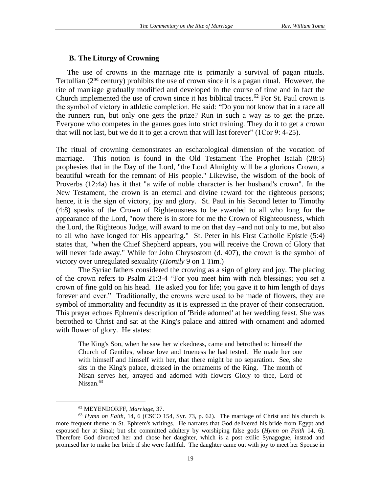### **B. The Liturgy of Crowning**

The use of crowns in the marriage rite is primarily a survival of pagan rituals. Tertullian ( $2<sup>nd</sup>$  century) prohibits the use of crown since it is a pagan ritual. However, the rite of marriage gradually modified and developed in the course of time and in fact the Church implemented the use of crown since it has biblical traces.<sup>62</sup> For St. Paul crown is the symbol of victory in athletic completion. He said: "Do you not know that in a race all the runners run, but only one gets the prize? Run in such a way as to get the prize. Everyone who competes in the games goes into strict training. They do it to get a crown that will not last, but we do it to get a crown that will last forever" (1Cor 9: 4-25).

The ritual of crowning demonstrates an eschatological dimension of the vocation of marriage. This notion is found in the Old Testament The Prophet Isaiah (28:5) prophesies that in the Day of the Lord, "the Lord Almighty will be a glorious Crown, a beautiful wreath for the remnant of His people." Likewise, the wisdom of the book of Proverbs (12:4a) has it that "a wife of noble character is her husband's crown". In the New Testament, the crown is an eternal and divine reward for the righteous persons; hence, it is the sign of victory, joy and glory. St. Paul in his Second letter to Timothy (4:8) speaks of the Crown of Righteousness to be awarded to all who long for the appearance of the Lord, "now there is in store for me the Crown of Righteousness, which the Lord, the Righteous Judge, will award to me on that day –and not only to me, but also to all who have longed for His appearing." St. Peter in his First Catholic Epistle (5:4) states that, "when the Chief Shepherd appears, you will receive the Crown of Glory that will never fade away." While for John Chrysostom (d. 407), the crown is the symbol of victory over unregulated sexuality (*Homily* 9 on 1 Tim*.*)

The Syriac fathers considered the crowing as a sign of glory and joy. The placing of the crown refers to Psalm 21:3-4 "For you meet him with rich blessings; you set a crown of fine gold on his head. He asked you for life; you gave it to him length of days forever and ever." Traditionally, the crowns were used to be made of flowers, they are symbol of immortality and fecundity as it is expressed in the prayer of their consecration. This prayer echoes Ephrem's description of 'Bride adorned' at her wedding feast. She was betrothed to Christ and sat at the King's palace and attired with ornament and adorned with flower of glory. He states:

The King's Son, when he saw her wickedness, came and betrothed to himself the Church of Gentiles, whose love and trueness he had tested. He made her one with himself and himself with her, that there might be no separation. See, she sits in the King's palace, dressed in the ornaments of the King. The month of Nisan serves her, arrayed and adorned with flowers Glory to thee, Lord of Nissan.<sup>63</sup>

<sup>62</sup> MEYENDORFF, *Marriage*, 37.

<sup>63</sup> *Hymn on Faith*, 14, 6 (CSCO 154, Syr. 73, p. 62). The marriage of Christ and his church is more frequent theme in St. Ephrem's writings. He narrates that God delivered his bride from Egypt and espoused her at Sinai; but she committed adultery by worshiping false gods (*Hymn on Faith* 14, 6). Therefore God divorced her and chose her daughter, which is a post exilic Synagogue, instead and promised her to make her bride if she were faithful. The daughter came out with joy to meet her Spouse in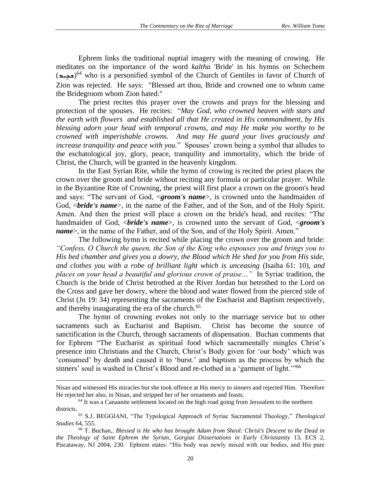Ephrem links the traditional nuptial imagery with the meaning of crowing. He meditates on the importance of the word *kaltha* 'Bride' in his hymns on Schechem (<del>ح</del>جِمة)<sup>64</sup> who is a personified symbol of the Church of Gentiles in favor of Church of Zion was rejected. He says: "Blessed art thou, Bride and crowned one to whom came the Bridegroom whom Zion hated."

The priest recites this prayer over the crowns and prays for the blessing and protection of the spouses. He recites: "*May God, who crowned heaven with stars and the earth with flowers and established all that He created in His commandment, by His blessing adorn your head with temporal crowns, and may He make you worthy to be crowned with imperishable crowns. And may He guard your lives graciously and increase tranquility and peace with you.*" Spouses' crown being a symbol that alludes to the eschatological joy, glory, peace, tranquility and immortality, which the bride of Christ, the Church, will be granted in the heavenly kingdom.

In the East Syrian Rite, while the hymn of crowing is recited the priest places the crown over the groom and bride without reciting any formula or particular prayer. While in the Byzantine Rite of Crowning, the priest will first place a crown on the groom's head and says: "The servant of God, <*groom's name*>, is crowned unto the handmaiden of God, <*bride's name*>, in the name of the Father, and of the Son, and of the Holy Spirit. Amen. And then the priest will place a crown on the bride's head, and recites: "The handmaiden of God, <*bride's name*>, is crowned unto the servant of God, <*groom's name*>, in the name of the Father, and of the Son, and of the Holy Spirit. Amen."

The following hymn is recited while placing the crown over the groom and bride: *"Confess, O Church the queen, the Son of the King who espouses you and brings you to His bed chamber and gives you a dowry, the Blood which He shed for you from His side, and clothes you with a robe of brilliant light which is unceasing* (Isaiha 61: 10)*, and places on your head a beautiful and glorious crown of praise…"* In Syriac tradition, the Church is the bride of Christ betrothed at the River Jordan but betrothed to the Lord on the Cross and gave her dowry, where the blood and water flowed from the pierced side of Christ (Jn 19: 34) representing the sacraments of the Eucharist and Baptism respectively, and thereby inaugurating the era of the church.<sup>65</sup>

The hymn of crowning evokes not only to the marriage service but to other sacraments such as Eucharist and Baptism. Christ has become the source of sanctification in the Church, through sacraments of dispensation. Buchan comments that for Ephrem "The Eucharist as spiritual food which sacramentally mingles Christ's presence into Christians and the Church, Christ's Body given for 'our body' which was 'consumed' by death and caused it to 'burst.' and baptism as the process by which the sinners' soul is washed in Christ's Blood and re-clothed in a 'garment of light."<sup>66</sup>

Nisan and witnessed His miracles but she took offence at His mercy to sinners and rejected Him. Therefore He rejected her also, in Nisan, and stripped her of her ornaments and feasts.

 $64$  It was a Canaanite settlement located on the high road going from Jerusalem to the northern districts.

<sup>65</sup> S.J. BEGGIANI, "The Typological Approach of Syriac Sacramental Theology," *Theological Studies* 64, 555.

<sup>66</sup> T. Buchan,. *Blessed is He who has brought Adam from Sheol: Christ's Descent to the Dead in the Theology of Saint Ephrem the Syrian*, *Gorgias Dissertations in Early Christianity* 13, ECS 2, Piscataway, NJ 2004, 230. Ephrem states: "His body was newly mixed with our bodies, and His pure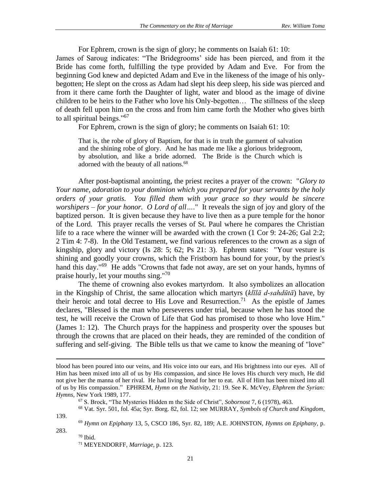For Ephrem, crown is the sign of glory; he comments on Isaiah 61: 10: James of Saroug indicates: "The Bridegrooms' side has been pierced, and from it the Bride has come forth, fulfilling the type provided by Adam and Eve. For from the beginning God knew and depicted Adam and Eve in the likeness of the image of his onlybegotten; He slept on the cross as Adam had slept his deep sleep, his side was pierced and from it there came forth the Daughter of light, water and blood as the image of divine children to be heirs to the Father who love his Only-begotten… The stillness of the sleep of death fell upon him on the cross and from him came forth the Mother who gives birth to all spiritual beings."<sup>67</sup>

For Ephrem, crown is the sign of glory; he comments on Isaiah 61: 10:

That is, the robe of glory of Baptism, for that is in truth the garment of salvation and the shining robe of glory. And he has made me like a glorious bridegroom, by absolution, and like a bride adorned. The Bride is the Church which is adorned with the beauty of all nations.<sup>68</sup>

After post-baptismal anointing, the priest recites a prayer of the crown: "*Glory to Your name, adoration to your dominion which you prepared for your servants by the holy orders of your gratis. You filled them with your grace so they would be sincere worshipers – for your honor. O Lord of all….*" It reveals the sign of joy and glory of the baptized person. It is given because they have to live then as a pure temple for the honor of the Lord. This prayer recalls the verses of St. Paul where he compares the Christian life to a race where the winner will be awarded with the crown (1 Cor 9: 24-26; Gal 2:2; 2 Tim 4: 7-8). In the Old Testament, we find various references to the crown as a sign of kingship, glory and victory (Is 28: 5; 62; Ps 21: 3). Ephrem states: "Your vesture is shining and goodly your crowns, which the Fristborn has bound for your, by the priest's hand this day."<sup>69</sup> He adds "Crowns that fade not away, are set on your hands, hymns of praise hourly, let your mouths sing."<sup>70</sup>

The theme of crowning also evokes martyrdom. It also symbolizes an allocation in the Kingship of Christ, the same allocation which martyrs (*klīlā d-sahdūtā*) have, by their heroic and total decree to His Love and Resurrection.<sup>71</sup> As the epistle of James declares, "Blessed is the man who perseveres under trial, because when he has stood the test, he will receive the Crown of Life that God has promised to those who love Him*.*" (James 1: 12). The Church prays for the happiness and prosperity over the spouses but through the crowns that are placed on their heads, they are reminded of the condition of suffering and self-giving. The Bible tells us that we came to know the meaning of "love"

139. 283.

 $70$  Ibid.

blood has been poured into our veins, and His voice into our ears, and His brightness into our eyes. All of Him has been mixed into all of us by His compassion, and since He loves His church very much, He did not give her the manna of her rival. He had living bread for her to eat. All of Him has been mixed into all of us by His compassion." EPHREM, *Hymn on the Nativity*, 21: 19. See K. McVey, *Ehphrem the Syrian: Hymns*, New York 1989, 177.

<sup>67</sup> S. Brock, "The Mysteries Hidden m the Side of Christ", *Sobornost* 7, 6 (1978), 463.

<sup>68</sup> Vat. Syr. 501, fol. 45a; Syr. Borg. 82, fol. 12; see MURRAY, *Symbols of Church and Kingdom*,

<sup>69</sup> *Hymn on Epiphany* 13, 5, CSCO 186, Syr. 82, 189; A.E. JOHNSTON, *Hymns on Epiphany*, p.

<sup>71</sup> MEYENDORFF, *Marriage*, p. 123.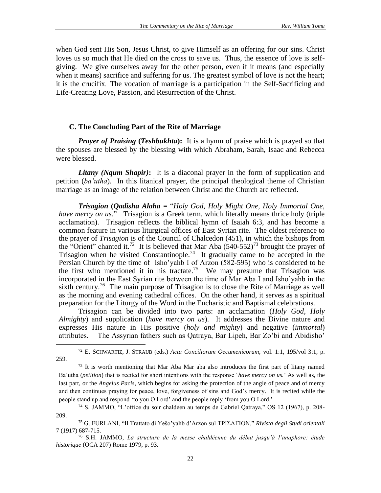when God sent His Son, Jesus Christ, to give Himself as an offering for our sins. Christ loves us so much that He died on the cross to save us. Thus, the essence of love is selfgiving. We give ourselves away for the other person, even if it means (and especially when it means) sacrifice and suffering for us. The greatest symbol of love is not the heart; it is the crucifix. The vocation of marriage is a participation in the Self-Sacrificing and Life-Creating Love, Passion, and Resurrection of the Christ.

#### **C. The Concluding Part of the Rite of Marriage**

*Prayer of Praising (Teshbukhta)***:** It is a hymn of praise which is prayed so that the spouses are blessed by the blessing with which Abraham, Sarah, Isaac and Rebecca were blessed.

*Litany (Nqum Shapir)***:** It is a diaconal prayer in the form of supplication and petition (*ba'utha*). In this litanical prayer, the principal theological theme of Christian marriage as an image of the relation between Christ and the Church are reflected.

*Trisagion* **(***Qadisha Alaha =* "*Holy God, Holy Might One, Holy Immortal One, have mercy on us.*" Trisagion is a Greek term, which literally means thrice holy (triple acclamation). Trisagion reflects the biblical hymn of Isaiah 6:3, and has become a common feature in various liturgical offices of East Syrian rite. The oldest reference to the prayer of *Trisagion* is of the Council of Chalcedon (451), in which the bishops from the "Orient" chanted it.<sup>72</sup> It is believed that Mar Aba  $(540-552)^{73}$  brought the prayer of Trisagion when he visited Constantinople.<sup>74</sup> It gradually came to be accepted in the Persian Church by the time of Isho'yahb I of Arzon (582-595) who is considered to be the first who mentioned it in his tractate.<sup>75</sup> We may presume that Trisagion was incorporated in the East Syrian rite between the time of Mar Aba I and Isho'yahb in the sixth century.<sup>76</sup> The main purpose of Trisagion is to close the Rite of Marriage as well as the morning and evening cathedral offices. On the other hand, it serves as a spiritual preparation for the Liturgy of the Word in the Eucharistic and Baptismal celebrations.

Trisagion can be divided into two parts: an acclamation (*Holy God, Holy Almighty*) and supplication (*have mercy on us*). It addresses the Divine nature and expresses His nature in His positive (*holy and mighty*) and negative (*immortal*) attributes. The Assyrian fathers such as Qatraya, Bar Lipeh, Bar Zo'bi and Abidisho'

<sup>72</sup> E. SCHWARTIZ, J. STRAUB (eds.) *Acta Conciliorum Oecumenicorum*, vol. 1:1, 195/vol 3:1, p. 259.

 $73$  It is worth mentioning that Mar Aba Mar aba also introduces the first part of litany named Ba'utha (*petition*) that is recited for short intentions with the response '*have mercy on us.*' As well as, the last part, or the *Angelus Pacis*, which begins for asking the protection of the angle of peace and of mercy and then continues praying for peace, love, forgiveness of sins and God's mercy. It is recited while the people stand up and respond 'to you O Lord' and the people reply 'from you O Lord.'

<sup>74</sup> S. JAMMO, "L'office du soir chaldéen au temps de Gabriel Qatraya," OS 12 (1967), p. 208- 209.

<sup>&</sup>lt;sup>75</sup> G. FURLANI, "Il Trattato di Yešo'yahb d'Arzon sul TPI∑ATION," *Rivista degli Studi orientali* 7 (1917) 687-715.

<sup>76</sup> S.H. JAMMO, *La structure de la messe chaldéenne du début jusqu'à l'anaphore: étude historique* (OCA 207) Rome 1979, p. 93.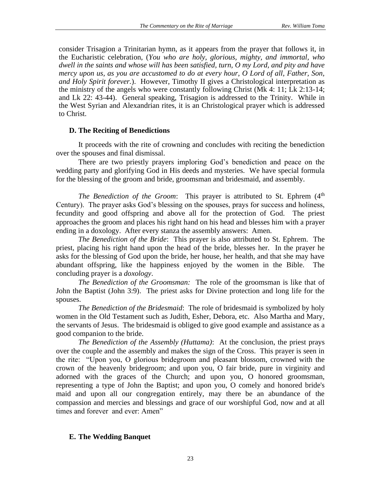consider Trisagion a Trinitarian hymn, as it appears from the prayer that follows it, in the Eucharistic celebration, (*You who are holy, glorious, mighty, and immortal, who dwell in the saints and whose will has been satisfied, turn, O my Lord, and pity and have mercy upon us, as you are accustomed to do at every hour, O Lord of all, Father, Son, and Holy Spirit forever.*). However, Timothy II gives a Christological interpretation as the ministry of the angels who were constantly following Christ (Mk 4: 11; Lk 2:13-14; and Lk 22: 43-44). General speaking, Trisagion is addressed to the Trinity. While in the West Syrian and Alexandrian rites, it is an Christological prayer which is addressed to Christ.

### **D. The Reciting of Benedictions**

It proceeds with the rite of crowning and concludes with reciting the benediction over the spouses and final dismissal.

There are two priestly prayers imploring God's benediction and peace on the wedding party and glorifying God in His deeds and mysteries. We have special formula for the blessing of the groom and bride, groomsman and bridesmaid, and assembly.

*The Benediction of the Groom*: This prayer is attributed to St. Ephrem (4<sup>th</sup>) Century). The prayer asks God's blessing on the spouses, prays for success and holiness, fecundity and good offspring and above all for the protection of God. The priest approaches the groom and places his right hand on his head and blesses him with a prayer ending in a doxology. After every stanza the assembly answers: Amen.

*The Benediction of the Bride*: This prayer is also attributed to St. Ephrem. The priest, placing his right hand upon the head of the bride, blesses her. In the prayer he asks for the blessing of God upon the bride, her house, her health, and that she may have abundant offspring, like the happiness enjoyed by the women in the Bible. The concluding prayer is a *doxology*.

*The Benediction of the Groomsman:* The role of the groomsman is like that of John the Baptist (John 3:9). The priest asks for Divine protection and long life for the spouses.

*The Benediction of the Bridesmaid*: The role of bridesmaid is symbolized by holy women in the Old Testament such as Judith, Esher, Debora, etc. Also Martha and Mary, the servants of Jesus. The bridesmaid is obliged to give good example and assistance as a good companion to the bride.

*The Benediction of the Assembly (Huttama)*: At the conclusion, the priest prays over the couple and the assembly and makes the sign of the Cross. This prayer is seen in the rite: "Upon you, O glorious bridegroom and pleasant blossom, crowned with the crown of the heavenly bridegroom; and upon you, O fair bride, pure in virginity and adorned with the graces of the Church; and upon you, O honored groomsman, representing a type of John the Baptist; and upon you, O comely and honored bride's maid and upon all our congregation entirely, may there be an abundance of the compassion and mercies and blessings and grace of our worshipful God, now and at all times and forever and ever: Amen"

### **E. The Wedding Banquet**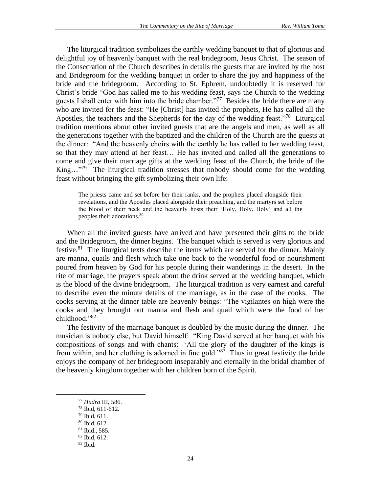The liturgical tradition symbolizes the earthly wedding banquet to that of glorious and delightful joy of heavenly banquet with the real bridegroom, Jesus Christ. The season of the Consecration of the Church describes in details the guests that are invited by the host and Bridegroom for the wedding banquet in order to share the joy and happiness of the bride and the bridegroom. According to St. Ephrem, undoubtedly it is reserved for Christ's bride "God has called me to his wedding feast, says the Church to the wedding guests I shall enter with him into the bride chamber."<sup>77</sup> Besides the bride there are many who are invited for the feast: "He [Christ] has invited the prophets, He has called all the Apostles, the teachers and the Shepherds for the day of the wedding feast."<sup>78</sup> Liturgical tradition mentions about other invited guests that are the angels and men, as well as all the generations together with the baptized and the children of the Church are the guests at the dinner: "And the heavenly choirs with the earthly he has called to her wedding feast, so that they may attend at her feast… He has invited and called all the generations to come and give their marriage gifts at the wedding feast of the Church, the bride of the King..."<sup>79</sup> The liturgical tradition stresses that nobody should come for the wedding feast without bringing the gift symbolizing their own life:

The priests came and set before her their ranks, and the prophets placed alongside their revelations, and the Apostles placed alongside their preaching, and the martyrs set before the blood of their neck and the heavenly hosts their 'Holy, Holy, Holy' and all the peoples their adorations.<sup>80</sup>

When all the invited guests have arrived and have presented their gifts to the bride and the Bridegroom, the dinner begins. The banquet which is served is very glorious and festive.<sup>81</sup> The liturgical texts describe the items which are served for the dinner. Mainly are manna, quails and flesh which take one back to the wonderful food or nourishment poured from heaven by God for his people during their wanderings in the desert. In the rite of marriage, the prayers speak about the drink served at the wedding banquet, which is the blood of the divine bridegroom. The liturgical tradition is very earnest and careful to describe even the minute details of the marriage, as in the case of the cooks. The cooks serving at the dinner table are heavenly beings: "The vigilantes on high were the cooks and they brought out manna and flesh and quail which were the food of her childhood."<sup>82</sup>

The festivity of the marriage banquet is doubled by the music during the dinner. The musician is nobody else, but David himself: "King David served at her banquet with his compositions of songs and with chants: 'All the glory of the daughter of the kings is from within, and her clothing is adorned in fine gold."<sup>83</sup> Thus in great festivity the bride enjoys the company of her bridegroom inseparably and eternally in the bridal chamber of the heavenly kingdom together with her children born of the Spirit.

<sup>77</sup> *Hudra* III, 586.

<sup>78</sup> Ibid, 611-612.

<sup>79</sup> Ibid, 611.

<sup>80</sup> Ibid, 612.

<sup>81</sup> Ibid., 585.

<sup>82</sup> Ibid, 612.

 $83$  Ibid.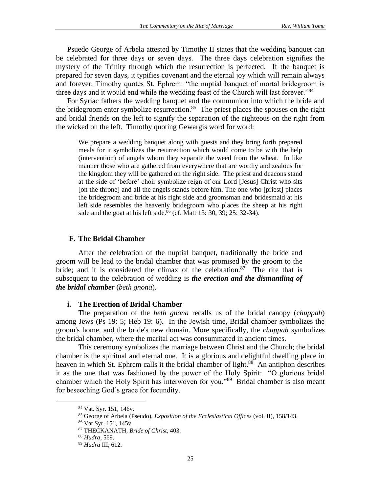Psuedo George of Arbela attested by Timothy II states that the wedding banquet can be celebrated for three days or seven days. The three days celebration signifies the mystery of the Trinity through which the resurrection is perfected. If the banquet is prepared for seven days, it typifies covenant and the eternal joy which will remain always and forever. Timothy quotes St. Ephrem: "the nuptial banquet of mortal bridegroom is three days and it would end while the wedding feast of the Church will last forever."<sup>84</sup>

For Syriac fathers the wedding banquet and the communion into which the bride and the bridegroom enter symbolize resurrection.<sup>85</sup> The priest places the spouses on the right and bridal friends on the left to signify the separation of the righteous on the right from the wicked on the left. Timothy quoting Gewargis word for word:

We prepare a wedding banquet along with guests and they bring forth prepared meals for it symbolizes the resurrection which would come to be with the help (intervention) of angels whom they separate the weed from the wheat. In like manner those who are gathered from everywhere that are worthy and zealous for the kingdom they will be gathered on the right side. The priest and deacons stand at the side of 'before' choir symbolize reign of our Lord [Jesus] Christ who sits [on the throne] and all the angels stands before him. The one who [priest] places the bridegroom and bride at his right side and groomsman and bridesmaid at his left side resembles the heavenly bridegroom who places the sheep at his right side and the goat at his left side.<sup>86</sup> (cf. Matt 13: 30, 39; 25: 32-34).

#### **F. The Bridal Chamber**

After the celebration of the nuptial banquet, traditionally the bride and groom will be lead to the bridal chamber that was promised by the groom to the bride; and it is considered the climax of the celebration.<sup>87</sup> The rite that is subsequent to the celebration of wedding is *the erection and the dismantling of the bridal chamber* (*beth gnona*).

#### **i. The Erection of Bridal Chamber**

The preparation of the *beth gnona* recalls us of the bridal canopy (c*huppah*) among Jews (Ps 19: 5; Heb 19: 6). In the Jewish time, Bridal chamber symbolizes the groom's home, and the bride's new domain. More specifically, the *chuppah* symbolizes the bridal chamber, where the marital act was consummated in ancient times.

This ceremony symbolizes the marriage between Christ and the Church; the bridal chamber is the spiritual and eternal one. It is a glorious and delightful dwelling place in heaven in which St. Ephrem calls it the bridal chamber of light.<sup>88</sup> An antiphon describes it as the one that was fashioned by the power of the Holy Spirit: "O glorious bridal chamber which the Holy Spirit has interwoven for you."<sup>89</sup> Bridal chamber is also meant for beseeching God's grace for fecundity.

<sup>84</sup> Vat. Syr. 151, 146v.

<sup>85</sup> George of Arbela (Pseudo), *Exposition of the Ecclesiastical Offices* (vol. II), 158/143.

<sup>86</sup> Vat Syr. 151, 145v.

<sup>87</sup> THECKANATH, *Bride of Christ*, 403.

<sup>88</sup> *Hudra*, 569.

<sup>89</sup> *Hudra* III, 612.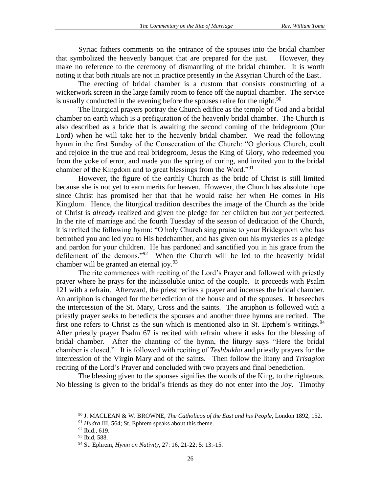Syriac fathers comments on the entrance of the spouses into the bridal chamber that symbolized the heavenly banquet that are prepared for the just. However, they make no reference to the ceremony of dismantling of the bridal chamber. It is worth noting it that both rituals are not in practice presently in the Assyrian Church of the East.

The erecting of bridal chamber is a custom that consists constructing of a wickerwork screen in the large family room to fence off the nuptial chamber. The service is usually conducted in the evening before the spouses retire for the night.<sup>90</sup>

The liturgical prayers portray the Church edifice as the temple of God and a bridal chamber on earth which is a prefiguration of the heavenly bridal chamber. The Church is also described as a bride that is awaiting the second coming of the bridegroom (Our Lord) when he will take her to the heavenly bridal chamber. We read the following hymn in the first Sunday of the Consecration of the Church: "O glorious Church, exult and rejoice in the true and real bridegroom, Jesus the King of Glory, who redeemed you from the yoke of error, and made you the spring of curing, and invited you to the bridal chamber of the Kingdom and to great blessings from the Word."<sup>91</sup>

However, the figure of the earthly Church as the bride of Christ is still limited because she is not yet to earn merits for heaven. However, the Church has absolute hope since Christ has promised her that that he would raise her when He comes in His Kingdom. Hence, the liturgical tradition describes the image of the Church as the bride of Christ is *already* realized and given the pledge for her children but *not yet* perfected. In the rite of marriage and the fourth Tuesday of the season of dedication of the Church, it is recited the following hymn: "O holy Church sing praise to your Bridegroom who has betrothed you and led you to His bedchamber, and has given out his mysteries as a pledge and pardon for your children. He has pardoned and sanctified you in his grace from the defilement of the demons."<sup>92</sup> When the Church will be led to the heavenly bridal chamber will be granted an eternal joy.  $93$ 

The rite commences with reciting of the Lord's Prayer and followed with priestly prayer where he prays for the indissoluble union of the couple. It proceeds with Psalm 121 with a refrain. Afterward, the priest recites a prayer and incenses the bridal chamber. An antiphon is changed for the benediction of the house and of the spouses. It beseeches the intercession of the St. Mary, Cross and the saints. The antiphon is followed with a priestly prayer seeks to benedicts the spouses and another three hymns are recited. The first one refers to Christ as the sun which is mentioned also in St. Eprhem's writings.<sup>94</sup> After priestly prayer Psalm 67 is recited with refrain where it asks for the blessing of bridal chamber. After the chanting of the hymn, the liturgy says "Here the bridal chamber is closed." It is followed with reciting of *Teshbukha* and priestly prayers for the intercession of the Virgin Mary and of the saints. Then follow the litany and *Trisagion*  reciting of the Lord's Prayer and concluded with two prayers and final benediction.

The blessing given to the spouses signifies the words of the King, to the righteous. No blessing is given to the bridal's friends as they do not enter into the Joy. Timothy

<sup>90</sup> J. MACLEAN & W. BROWNE, *The Catholicos of the East and his People*, London 1892, 152.

<sup>91</sup> *Hudra* III, 564; St. Ephrem speaks about this theme.

<sup>92</sup> Ibid., 619.

<sup>93</sup> Ibid, 588.

<sup>94</sup> St. Ephrem, *Hymn on Nativity*, 27: 16, 21-22; 5: 13:-15.